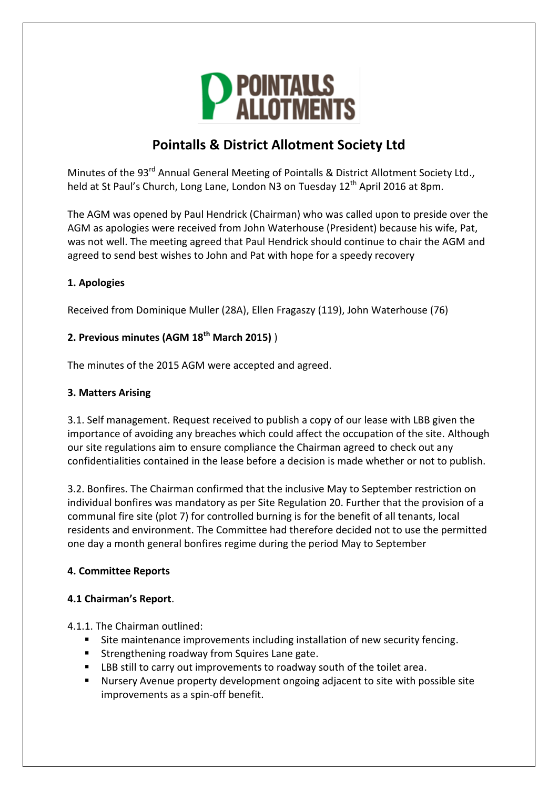

# **Pointalls & District Allotment Society Ltd**

Minutes of the 93<sup>rd</sup> Annual General Meeting of Pointalls & District Allotment Society Ltd., held at St Paul's Church, Long Lane, London N3 on Tuesday 12<sup>th</sup> April 2016 at 8pm.

The AGM was opened by Paul Hendrick (Chairman) who was called upon to preside over the AGM as apologies were received from John Waterhouse (President) because his wife, Pat, was not well. The meeting agreed that Paul Hendrick should continue to chair the AGM and agreed to send best wishes to John and Pat with hope for a speedy recovery

## **1. Apologies**

Received from Dominique Muller (28A), Ellen Fragaszy (119), John Waterhouse (76)

## **2. Previous minutes (AGM 18th March 2015)** )

The minutes of the 2015 AGM were accepted and agreed.

## **3. Matters Arising**

3.1. Self management. Request received to publish a copy of our lease with LBB given the importance of avoiding any breaches which could affect the occupation of the site. Although our site regulations aim to ensure compliance the Chairman agreed to check out any confidentialities contained in the lease before a decision is made whether or not to publish.

3.2. Bonfires. The Chairman confirmed that the inclusive May to September restriction on individual bonfires was mandatory as per Site Regulation 20. Further that the provision of a communal fire site (plot 7) for controlled burning is for the benefit of all tenants, local residents and environment. The Committee had therefore decided not to use the permitted one day a month general bonfires regime during the period May to September

## **4. Committee Reports**

## **4.1 Chairman's Report**.

4.1.1. The Chairman outlined:

- Site maintenance improvements including installation of new security fencing.
- **Strengthening roadway from Squires Lane gate.**
- LBB still to carry out improvements to roadway south of the toilet area.
- Nursery Avenue property development ongoing adjacent to site with possible site improvements as a spin-off benefit.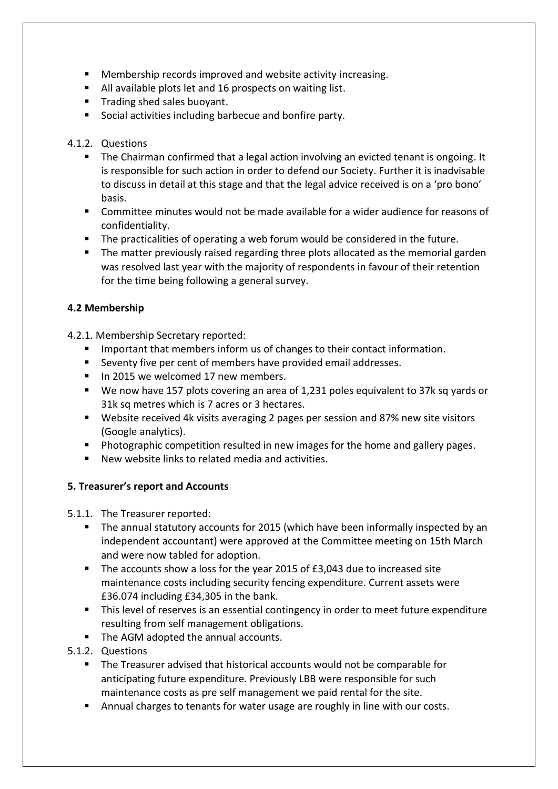- Membership records improved and website activity increasing.
- All available plots let and 16 prospects on waiting list.
- **Trading shed sales buoyant.**
- **Social activities including barbecue and bonfire party.**

## 4.1.2. Questions

- The Chairman confirmed that a legal action involving an evicted tenant is ongoing. It is responsible for such action in order to defend our Society. Further it is inadvisable to discuss in detail at this stage and that the legal advice received is on a 'pro bono' basis.
- Committee minutes would not be made available for a wider audience for reasons of confidentiality.
- **The practicalities of operating a web forum would be considered in the future.**
- **The matter previously raised regarding three plots allocated as the memorial garden** was resolved last year with the majority of respondents in favour of their retention for the time being following a general survey.

## **4.2 Membership**

4.2.1. Membership Secretary reported:

- **IMPORTER 19 IMPORTER INCOCO EXAMPLE 1.1 IMPORTER 1.1 IMPORT** 1.1 IMPORTED 1.1 IMPORTED 1.1 IMPORTED: 1.1 IMPORTED:
- Seventy five per cent of members have provided email addresses.
- In 2015 we welcomed 17 new members.
- We now have 157 plots covering an area of 1,231 poles equivalent to 37k sq yards or 31k sq metres which is 7 acres or 3 hectares.
- Website received 4k visits averaging 2 pages per session and 87% new site visitors (Google analytics).
- **Photographic competition resulted in new images for the home and gallery pages.**
- New website links to related media and activities.

## **5. Treasurer's report and Accounts**

5.1.1. The Treasurer reported:

- **The annual statutory accounts for 2015 (which have been informally inspected by an** independent accountant) were approved at the Committee meeting on 15th March and were now tabled for adoption.
- The accounts show a loss for the year 2015 of £3,043 due to increased site maintenance costs including security fencing expenditure. Current assets were £36.074 including £34,305 in the bank.
- This level of reserves is an essential contingency in order to meet future expenditure resulting from self management obligations.
- The AGM adopted the annual accounts.
- 5.1.2. Questions
	- The Treasurer advised that historical accounts would not be comparable for anticipating future expenditure. Previously LBB were responsible for such maintenance costs as pre self management we paid rental for the site.
	- **Annual charges to tenants for water usage are roughly in line with our costs.**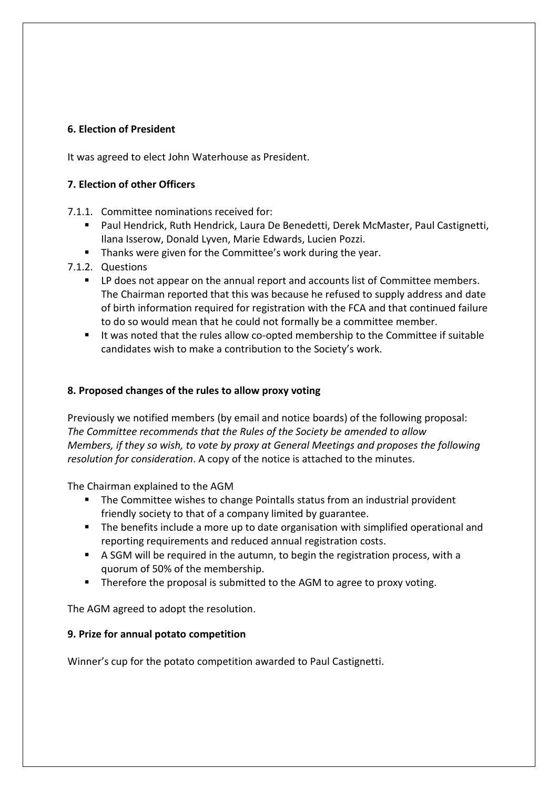### **6. Election of President**

It was agreed to elect John Waterhouse as President.

### **7. Election of other Officers**

- 7.1.1. Committee nominations received for:
	- Paul Hendrick, Ruth Hendrick, Laura De Benedetti, Derek McMaster, Paul Castignetti, Ilana Isserow, Donald Lyven, Marie Edwards, Lucien Pozzi.
	- Thanks were given for the Committee's work during the year.
- 7.1.2. Questions
	- **•** LP does not appear on the annual report and accounts list of Committee members. The Chairman reported that this was because he refused to supply address and date of birth information required for registration with the FCA and that continued failure to do so would mean that he could not formally be a committee member.
	- It was noted that the rules allow co-opted membership to the Committee if suitable candidates wish to make a contribution to the Society's work.

### **8. Proposed changes of the rules to allow proxy voting**

Previously we notified members (by email and notice boards) of the following proposal: *The Committee recommends that the Rules of the Society be amended to allow Members, if they so wish, to vote by proxy at General Meetings and proposes the following resolution for consideration*. A copy of the notice is attached to the minutes.

The Chairman explained to the AGM

- **The Committee wishes to change Pointalls status from an industrial provident** friendly society to that of a company limited by guarantee.
- **The benefits include a more up to date organisation with simplified operational and** reporting requirements and reduced annual registration costs.
- A SGM will be required in the autumn, to begin the registration process, with a quorum of 50% of the membership.
- **Therefore the proposal is submitted to the AGM to agree to proxy voting.**

The AGM agreed to adopt the resolution.

#### **9. Prize for annual potato competition**

Winner's cup for the potato competition awarded to Paul Castignetti.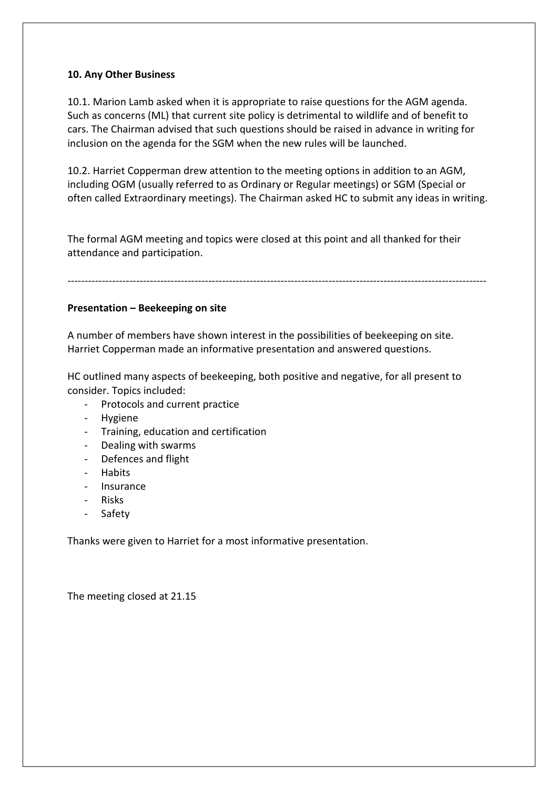### **10. Any Other Business**

10.1. Marion Lamb asked when it is appropriate to raise questions for the AGM agenda. Such as concerns (ML) that current site policy is detrimental to wildlife and of benefit to cars. The Chairman advised that such questions should be raised in advance in writing for inclusion on the agenda for the SGM when the new rules will be launched.

10.2. Harriet Copperman drew attention to the meeting options in addition to an AGM, including OGM (usually referred to as Ordinary or Regular meetings) or SGM (Special or often called Extraordinary meetings). The Chairman asked HC to submit any ideas in writing.

The formal AGM meeting and topics were closed at this point and all thanked for their attendance and participation.

## --------------------------------------------------------------------------------------------------------------------------

### **Presentation – Beekeeping on site**

A number of members have shown interest in the possibilities of beekeeping on site. Harriet Copperman made an informative presentation and answered questions.

HC outlined many aspects of beekeeping, both positive and negative, for all present to consider. Topics included:

- Protocols and current practice
- **Hygiene**
- Training, education and certification
- Dealing with swarms
- Defences and flight
- **Habits**
- **Insurance**
- Risks
- **Safety**

Thanks were given to Harriet for a most informative presentation.

The meeting closed at 21.15